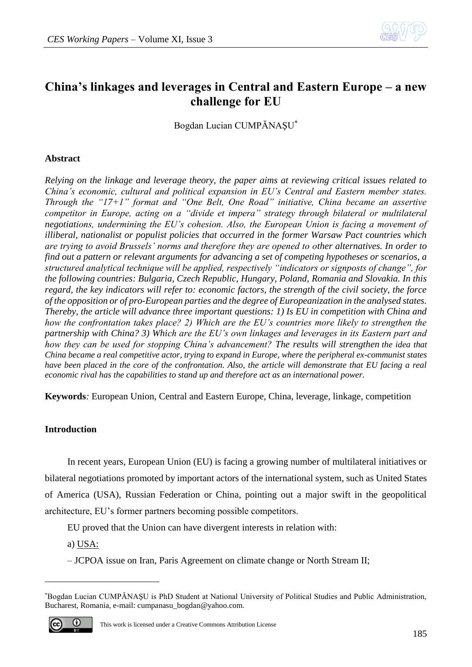

# **China's linkages and leverages in Central and Eastern Europe – a new challenge for EU**

Bogdan Lucian CUMPĂNAŞU**\***

## **Abstract**

*Relying on the linkage and leverage theory, the paper aims at reviewing critical issues related to China's economic, cultural and political expansion in EU's Central and Eastern member states. Through the "17+1" format and "One Belt, One Road" initiative, China became an assertive competitor in Europe, acting on a "divide et impera" strategy through bilateral or multilateral negotiations, undermining the EU's cohesion. Also, the European Union is facing a movement of illiberal, nationalist or populist policies that occurred in the former Warsaw Pact countries which are trying to avoid Brussels' norms and therefore they are opened to other alternatives. In order to find out a pattern or relevant arguments for advancing a set of competing hypotheses or scenarios, a structured analytical technique will be applied, respectively "indicators or signposts of change", for the following countries: Bulgaria, Czech Republic, Hungary, Poland, Romania and Slovakia. In this regard, the key indicators will refer to: economic factors, the strength of the civil society, the force of the opposition or of pro-European parties and the degree of Europeanization in the analysed states. Thereby, the article will advance three important questions: 1) Is EU in competition with China and how the confrontation takes place? 2) Which are the EU's countries more likely to strengthen the partnership with China? 3) Which are the EU's own linkages and leverages in its Eastern part and how they can be used for stopping China's advancement? The results will strengthen the idea that China became a real competitive actor, trying to expand in Europe, where the peripheral ex-communist states have been placed in the core of the confrontation. Also, the article will demonstrate that EU facing a real economic rival has the capabilities to stand up and therefore act as an international power.*

**Keywords***:* European Union, Central and Eastern Europe, China, leverage, linkage, competition

## **Introduction**

In recent years, European Union (EU) is facing a growing number of multilateral initiatives or bilateral negotiations promoted by important actors of the international system, such as United States of America (USA), Russian Federation or China, pointing out a major swift in the geopolitical architecture, EU's former partners becoming possible competitors.

EU proved that the Union can have divergent interests in relation with:

a) USA:

– JCPOA issue on Iran, Paris Agreement on climate change or North Stream II;

<sup>\*</sup>Bogdan Lucian CUMPĂNAŞU is PhD Student at National University of Political Studies and Public Administration, Bucharest, Romania, e-mail: cumpanasu\_bogdan@yahoo.com.



1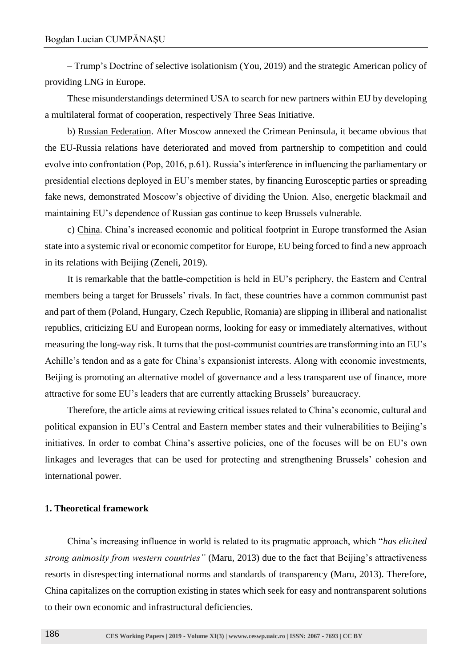– Trump's Doctrine of selective isolationism (You, 2019) and the strategic American policy of providing LNG in Europe.

These misunderstandings determined USA to search for new partners within EU by developing a multilateral format of cooperation, respectively Three Seas Initiative.

b) Russian Federation. After Moscow annexed the Crimean Peninsula, it became obvious that the EU-Russia relations have deteriorated and moved from partnership to competition and could evolve into confrontation (Pop, 2016, p.61). Russia's interference in influencing the parliamentary or presidential elections deployed in EU's member states, by financing Eurosceptic parties or spreading fake news, demonstrated Moscow's objective of dividing the Union. Also, energetic blackmail and maintaining EU's dependence of Russian gas continue to keep Brussels vulnerable.

c) China. China's increased economic and political footprint in Europe transformed the Asian state into a systemic rival or economic competitor for Europe, EU being forced to find a new approach in its relations with Beijing (Zeneli, 2019).

It is remarkable that the battle-competition is held in EU's periphery, the Eastern and Central members being a target for Brussels' rivals. In fact, these countries have a common communist past and part of them (Poland, Hungary, Czech Republic, Romania) are slipping in illiberal and nationalist republics, criticizing EU and European norms, looking for easy or immediately alternatives, without measuring the long-way risk. It turns that the post-communist countries are transforming into an EU's Achille's tendon and as a gate for China's expansionist interests. Along with economic investments, Beijing is promoting an alternative model of governance and a less transparent use of finance, more attractive for some EU's leaders that are currently attacking Brussels' bureaucracy.

Therefore, the article aims at reviewing critical issues related to China's economic, cultural and political expansion in EU's Central and Eastern member states and their vulnerabilities to Beijing's initiatives. In order to combat China's assertive policies, one of the focuses will be on EU's own linkages and leverages that can be used for protecting and strengthening Brussels' cohesion and international power.

#### **1. Theoretical framework**

China's increasing influence in world is related to its pragmatic approach, which "*has elicited strong animosity from western countries"* (Maru, 2013) due to the fact that Beijing's attractiveness resorts in disrespecting international norms and standards of transparency (Maru, 2013). Therefore, China capitalizes on the corruption existing in states which seek for easy and nontransparent solutions to their own economic and infrastructural deficiencies.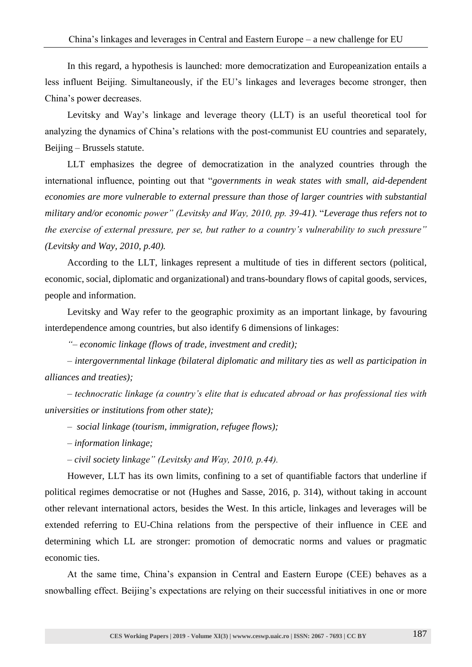In this regard, a hypothesis is launched: more democratization and Europeanization entails a less influent Beijing. Simultaneously, if the EU's linkages and leverages become stronger, then China's power decreases.

Levitsky and Way's linkage and leverage theory (LLT) is an useful theoretical tool for analyzing the dynamics of China's relations with the post-communist EU countries and separately, Beijing – Brussels statute.

LLT emphasizes the degree of democratization in the analyzed countries through the international influence, pointing out that "*governments in weak states with small, aid-dependent economies are more vulnerable to external pressure than those of larger countries with substantial military and/or economic power" (Levitsky and Way, 2010, pp. 39-41).* "*Leverage thus refers not to the exercise of external pressure, per se, but rather to a country's vulnerability to such pressure" (Levitsky and Way, 2010, p.40).*

According to the LLT, linkages represent a multitude of ties in different sectors (political, economic, social, diplomatic and organizational) and trans-boundary flows of capital goods, services, people and information.

Levitsky and Way refer to the geographic proximity as an important linkage, by favouring interdependence among countries, but also identify 6 dimensions of linkages:

*"– economic linkage (flows of trade, investment and credit);*

*– intergovernmental linkage (bilateral diplomatic and military ties as well as participation in alliances and treaties);*

*– technocratic linkage (a country's elite that is educated abroad or has professional ties with universities or institutions from other state);*

- *social linkage (tourism, immigration, refugee flows);*
- *– information linkage;*
- *– civil society linkage" (Levitsky and Way, 2010, p.44).*

However, LLT has its own limits, confining to a set of quantifiable factors that underline if political regimes democratise or not (Hughes and Sasse, 2016, p. 314), without taking in account other relevant international actors, besides the West. In this article, linkages and leverages will be extended referring to EU-China relations from the perspective of their influence in CEE and determining which LL are stronger: promotion of democratic norms and values or pragmatic economic ties.

At the same time, China's expansion in Central and Eastern Europe (CEE) behaves as a snowballing effect. Beijing's expectations are relying on their successful initiatives in one or more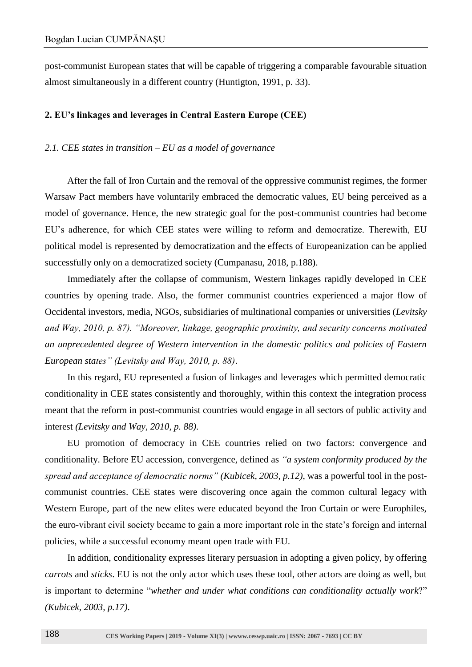post-communist European states that will be capable of triggering a comparable favourable situation almost simultaneously in a different country (Huntigton, 1991, p. 33).

#### **2. EU's linkages and leverages in Central Eastern Europe (CEE)**

### *2.1. CEE states in transition – EU as a model of governance*

After the fall of Iron Curtain and the removal of the oppressive communist regimes, the former Warsaw Pact members have voluntarily embraced the democratic values, EU being perceived as a model of governance. Hence, the new strategic goal for the post-communist countries had become EU's adherence, for which CEE states were willing to reform and democratize. Therewith, EU political model is represented by democratization and the effects of Europeanization can be applied successfully only on a democratized society (Cumpanasu, 2018, p.188).

Immediately after the collapse of communism, Western linkages rapidly developed in CEE countries by opening trade. Also, the former communist countries experienced a major flow of Occidental investors, media, NGOs, subsidiaries of multinational companies or universities (*Levitsky and Way, 2010, p. 87). "Moreover, linkage, geographic proximity, and security concerns motivated an unprecedented degree of Western intervention in the domestic politics and policies of Eastern European states" (Levitsky and Way, 2010, p. 88)*.

In this regard, EU represented a fusion of linkages and leverages which permitted democratic conditionality in CEE states consistently and thoroughly, within this context the integration process meant that the reform in post-communist countries would engage in all sectors of public activity and interest *(Levitsky and Way, 2010, p. 88)*.

EU promotion of democracy in CEE countries relied on two factors: convergence and conditionality. Before EU accession, convergence, defined as *"a system conformity produced by the spread and acceptance of democratic norms" (Kubicek, 2003, p.12)*, was a powerful tool in the postcommunist countries. CEE states were discovering once again the common cultural legacy with Western Europe, part of the new elites were educated beyond the Iron Curtain or were Europhiles, the euro-vibrant civil society became to gain a more important role in the state's foreign and internal policies, while a successful economy meant open trade with EU.

In addition, conditionality expresses literary persuasion in adopting a given policy, by offering *carrots* and *sticks*. EU is not the only actor which uses these tool, other actors are doing as well, but is important to determine "*whether and under what conditions can conditionality actually work*?" *(Kubicek, 2003, p.17)*.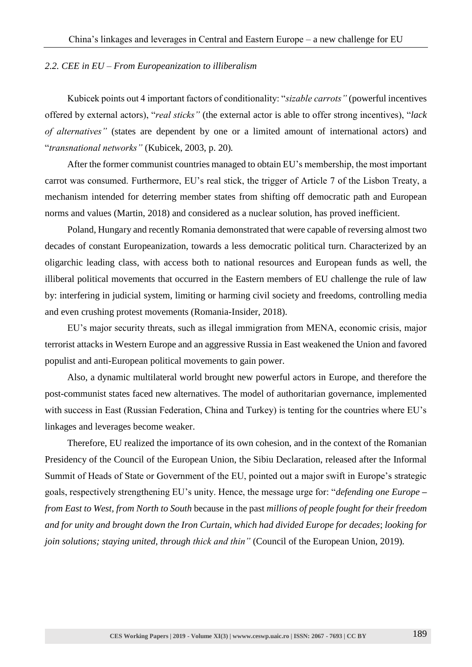#### *2.2. CEE in EU – From Europeanization to illiberalism*

Kubicek points out 4 important factors of conditionality: "*sizable carrots"* (powerful incentives offered by external actors), "*real sticks"* (the external actor is able to offer strong incentives), "*lack of alternatives"* (states are dependent by one or a limited amount of international actors) and "*transnational networks"* (Kubicek, 2003, p. 20)*.*

After the former communist countries managed to obtain EU's membership, the most important carrot was consumed. Furthermore, EU's real stick, the trigger of Article 7 of the Lisbon Treaty, a mechanism intended for deterring member states from shifting off democratic path and European norms and values (Martin, 2018) and considered as a nuclear solution, has proved inefficient.

Poland, Hungary and recently Romania demonstrated that were capable of reversing almost two decades of constant Europeanization, towards a less democratic political turn. Characterized by an oligarchic leading class, with access both to national resources and European funds as well, the illiberal political movements that occurred in the Eastern members of EU challenge the rule of law by: interfering in judicial system, limiting or harming civil society and freedoms, controlling media and even crushing protest movements (Romania-Insider, 2018).

EU's major security threats, such as illegal immigration from MENA, economic crisis, major terrorist attacks in Western Europe and an aggressive Russia in East weakened the Union and favored populist and anti-European political movements to gain power.

Also, a dynamic multilateral world brought new powerful actors in Europe, and therefore the post-communist states faced new alternatives. The model of authoritarian governance, implemented with success in East (Russian Federation, China and Turkey) is tenting for the countries where EU's linkages and leverages become weaker.

Therefore, EU realized the importance of its own cohesion, and in the context of the Romanian Presidency of the Council of the European Union, the Sibiu Declaration, released after the Informal Summit of Heads of State or Government of the EU, pointed out a major swift in Europe's strategic goals, respectively strengthening EU's unity. Hence, the message urge for: "*defending one Europe* **–** *from East to West, from North to South* because in the past *millions of people fought for their freedom and for unity and brought down the Iron Curtain, which had divided Europe for decades*; *looking for join solutions; staying united, through thick and thin*" (Council of the European Union, 2019).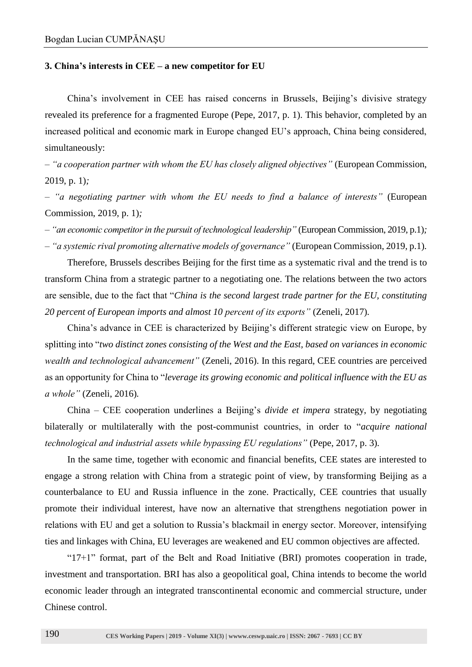#### **3. China's interests in CEE – a new competitor for EU**

China's involvement in CEE has raised concerns in Brussels, Beijing's divisive strategy revealed its preference for a fragmented Europe (Pepe, 2017, p. 1). This behavior, completed by an increased political and economic mark in Europe changed EU's approach, China being considered, simultaneously:

*– "a cooperation partner with whom the EU has closely aligned objectives"* (European Commission, 2019, p. 1)*;*

*– "a negotiating partner with whom the EU needs to find a balance of interests"* (European Commission, 2019, p. 1)*;*

*– "an economic competitor in the pursuit of technological leadership"* (European Commission, 2019, p.1)*;*

*– "a systemic rival promoting alternative models of governance"* (European Commission, 2019, p.1)*.*

Therefore, Brussels describes Beijing for the first time as a systematic rival and the trend is to transform China from a strategic partner to a negotiating one. The relations between the two actors are sensible, due to the fact that "*China is the second largest trade partner for the EU, constituting 20 percent of European imports and almost 10 percent of its exports"* (Zeneli, 2017)*.*

China's advance in CEE is characterized by Beijing's different strategic view on Europe, by splitting into "*two distinct zones consisting of the West and the East, based on variances in economic wealth and technological advancement"* (Zeneli, 2016). In this regard, CEE countries are perceived as an opportunity for China to "*leverage its growing economic and political influence with the EU as a whole"* (Zeneli, 2016)*.*

China – CEE cooperation underlines a Beijing's *divide et impera* strategy, by negotiating bilaterally or multilaterally with the post-communist countries, in order to "*acquire national technological and industrial assets while bypassing EU regulations"* (Pepe, 2017, p. 3)*.*

In the same time, together with economic and financial benefits, CEE states are interested to engage a strong relation with China from a strategic point of view, by transforming Beijing as a counterbalance to EU and Russia influence in the zone. Practically, CEE countries that usually promote their individual interest, have now an alternative that strengthens negotiation power in relations with EU and get a solution to Russia's blackmail in energy sector. Moreover, intensifying ties and linkages with China, EU leverages are weakened and EU common objectives are affected.

"17+1" format, part of the Belt and Road Initiative (BRI) promotes cooperation in trade, investment and transportation. BRI has also a geopolitical goal, China intends to become the world economic leader through an integrated transcontinental economic and commercial structure, under Chinese control.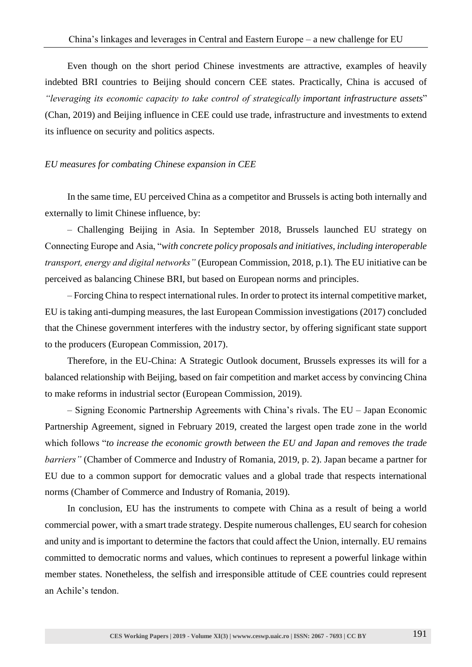Even though on the short period Chinese investments are attractive, examples of heavily indebted BRI countries to Beijing should concern CEE states. Practically, China is accused of *"leveraging its economic capacity to take control of strategically important infrastructure assets*" (Chan, 2019) and Beijing influence in CEE could use trade, infrastructure and investments to extend its influence on security and politics aspects.

#### *EU measures for combating Chinese expansion in CEE*

In the same time, EU perceived China as a competitor and Brussels is acting both internally and externally to limit Chinese influence, by:

– Challenging Beijing in Asia. In September 2018, Brussels launched EU strategy on Connecting Europe and Asia, "*with concrete policy proposals and initiatives, including interoperable transport, energy and digital networks"* (European Commission, 2018, p.1)*.* The EU initiative can be perceived as balancing Chinese BRI, but based on European norms and principles.

– Forcing China to respect international rules. In order to protect its internal competitive market, EU is taking anti-dumping measures, the last European Commission investigations (2017) concluded that the Chinese government interferes with the industry sector, by offering significant state support to the producers (European Commission, 2017).

Therefore, in the EU-China: A Strategic Outlook document, Brussels expresses its will for a balanced relationship with Beijing, based on fair competition and market access by convincing China to make reforms in industrial sector (European Commission, 2019).

– Signing Economic Partnership Agreements with China's rivals. The EU – Japan Economic Partnership Agreement, signed in February 2019, created the largest open trade zone in the world which follows "*to increase the economic growth between the EU and Japan and removes the trade barriers"* (Chamber of Commerce and Industry of Romania, 2019, p. 2)*.* Japan became a partner for EU due to a common support for democratic values and a global trade that respects international norms (Chamber of Commerce and Industry of Romania, 2019).

In conclusion, EU has the instruments to compete with China as a result of being a world commercial power, with a smart trade strategy. Despite numerous challenges, EU search for cohesion and unity and is important to determine the factors that could affect the Union, internally. EU remains committed to democratic norms and values, which continues to represent a powerful linkage within member states. Nonetheless, the selfish and irresponsible attitude of CEE countries could represent an Achile's tendon.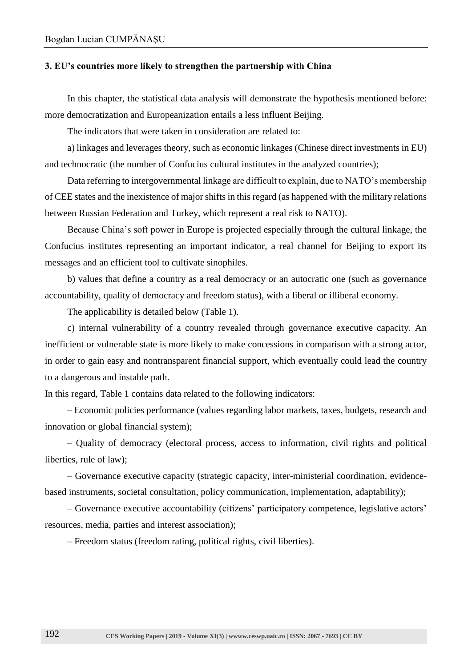#### **3. EU's countries more likely to strengthen the partnership with China**

In this chapter, the statistical data analysis will demonstrate the hypothesis mentioned before: more democratization and Europeanization entails a less influent Beijing.

The indicators that were taken in consideration are related to:

a) linkages and leverages theory, such as economic linkages (Chinese direct investments in EU) and technocratic (the number of Confucius cultural institutes in the analyzed countries);

Data referring to intergovernmental linkage are difficult to explain, due to NATO's membership of CEE states and the inexistence of major shifts in this regard (as happened with the military relations between Russian Federation and Turkey, which represent a real risk to NATO).

Because China's soft power in Europe is projected especially through the cultural linkage, the Confucius institutes representing an important indicator, a real channel for Beijing to export its messages and an efficient tool to cultivate sinophiles.

b) values that define a country as a real democracy or an autocratic one (such as governance accountability, quality of democracy and freedom status), with a liberal or illiberal economy.

The applicability is detailed below (Table 1).

c) internal vulnerability of a country revealed through governance executive capacity. An inefficient or vulnerable state is more likely to make concessions in comparison with a strong actor, in order to gain easy and nontransparent financial support, which eventually could lead the country to a dangerous and instable path.

In this regard, Table 1 contains data related to the following indicators:

– Economic policies performance (values regarding labor markets, taxes, budgets, research and innovation or global financial system);

– Quality of democracy (electoral process, access to information, civil rights and political liberties, rule of law);

– Governance executive capacity (strategic capacity, inter-ministerial coordination, evidencebased instruments, societal consultation, policy communication, implementation, adaptability);

– Governance executive accountability (citizens' participatory competence, legislative actors' resources, media, parties and interest association);

– Freedom status (freedom rating, political rights, civil liberties).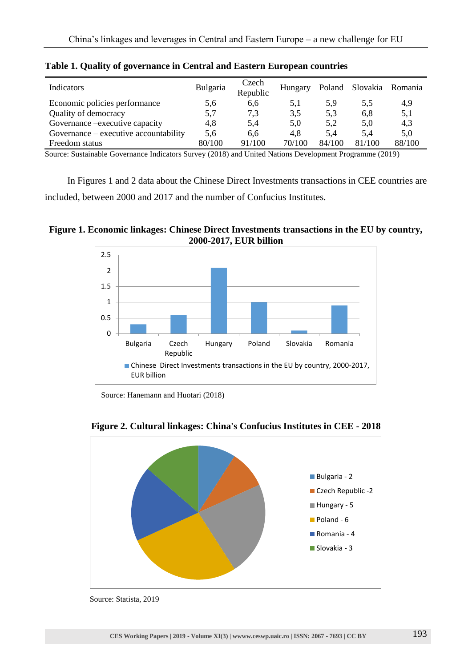| Indicators                              | Bulgaria | Czech<br>Republic | Hungary |        | Poland Slovakia Romania |        |
|-----------------------------------------|----------|-------------------|---------|--------|-------------------------|--------|
| Economic policies performance           | 5,6      | 6,6               | 5,1     | 5,9    | 5.5                     | 4,9    |
| Quality of democracy                    | 5,7      | 7,3               | 3,5     | 5,3    | 6,8                     | 5,1    |
| Governance – executive capacity         | 4,8      | 5,4               | 5,0     | 5,2    | 5,0                     | 4,3    |
| Governance $-$ executive accountability | 5,6      | 6.6               | 4.8     | 5.4    | 5.4                     | 5,0    |
| Freedom status                          | 80/100   | 91/100            | 70/100  | 84/100 | 81/100                  | 88/100 |

**Table 1. Quality of governance in Central and Eastern European countries**

Source: Sustainable Governance Indicators Survey (2018) and United Nations Development Programme (2019)

In Figures 1 and 2 data about the Chinese Direct Investments transactions in CEE countries are included, between 2000 and 2017 and the number of Confucius Institutes.

**Figure 1. Economic linkages: Chinese Direct Investments transactions in the EU by country, 2000-2017, EUR billion**



Source: Hanemann and Huotari (2018)



**Figure 2. Cultural linkages: China's Confucius Institutes in CEE - 2018**

Source: Statista, 2019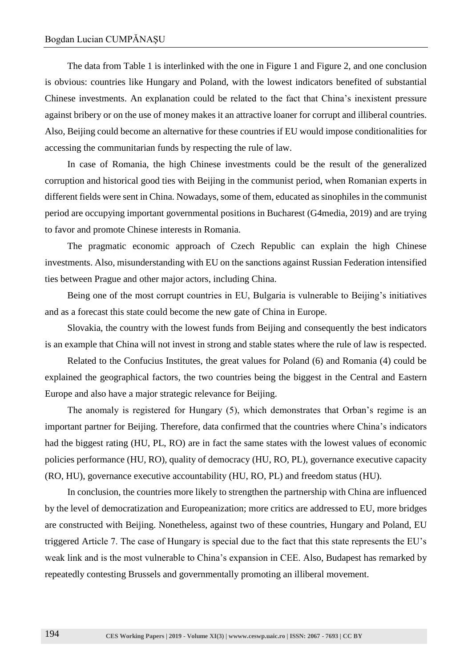The data from Table 1 is interlinked with the one in Figure 1 and Figure 2, and one conclusion is obvious: countries like Hungary and Poland, with the lowest indicators benefited of substantial Chinese investments. An explanation could be related to the fact that China's inexistent pressure against bribery or on the use of money makes it an attractive loaner for corrupt and illiberal countries. Also, Beijing could become an alternative for these countries if EU would impose conditionalities for accessing the communitarian funds by respecting the rule of law.

In case of Romania, the high Chinese investments could be the result of the generalized corruption and historical good ties with Beijing in the communist period, when Romanian experts in different fields were sent in China. Nowadays, some of them, educated as sinophiles in the communist period are occupying important governmental positions in Bucharest (G4media, 2019) and are trying to favor and promote Chinese interests in Romania.

The pragmatic economic approach of Czech Republic can explain the high Chinese investments. Also, misunderstanding with EU on the sanctions against Russian Federation intensified ties between Prague and other major actors, including China.

Being one of the most corrupt countries in EU, Bulgaria is vulnerable to Beijing's initiatives and as a forecast this state could become the new gate of China in Europe.

Slovakia, the country with the lowest funds from Beijing and consequently the best indicators is an example that China will not invest in strong and stable states where the rule of law is respected.

Related to the Confucius Institutes, the great values for Poland (6) and Romania (4) could be explained the geographical factors, the two countries being the biggest in the Central and Eastern Europe and also have a major strategic relevance for Beijing.

The anomaly is registered for Hungary (5), which demonstrates that Orban's regime is an important partner for Beijing. Therefore, data confirmed that the countries where China's indicators had the biggest rating (HU, PL, RO) are in fact the same states with the lowest values of economic policies performance (HU, RO), quality of democracy (HU, RO, PL), governance executive capacity (RO, HU), governance executive accountability (HU, RO, PL) and freedom status (HU).

In conclusion, the countries more likely to strengthen the partnership with China are influenced by the level of democratization and Europeanization; more critics are addressed to EU, more bridges are constructed with Beijing. Nonetheless, against two of these countries, Hungary and Poland, EU triggered Article 7. The case of Hungary is special due to the fact that this state represents the EU's weak link and is the most vulnerable to China's expansion in CEE. Also, Budapest has remarked by repeatedly contesting Brussels and governmentally promoting an illiberal movement.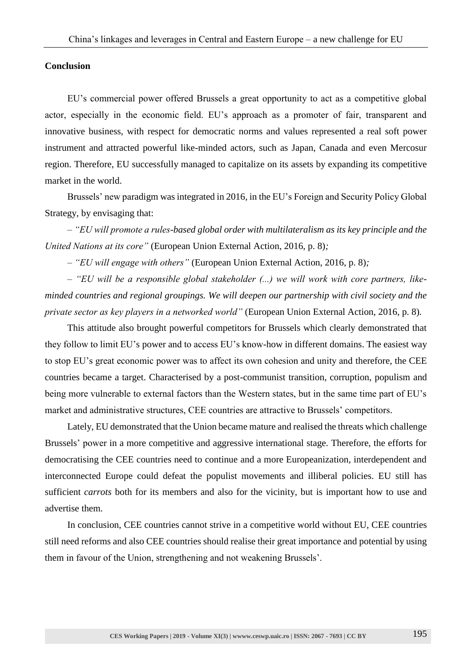## **Conclusion**

EU's commercial power offered Brussels a great opportunity to act as a competitive global actor, especially in the economic field. EU's approach as a promoter of fair, transparent and innovative business, with respect for democratic norms and values represented a real soft power instrument and attracted powerful like-minded actors, such as Japan, Canada and even Mercosur region. Therefore, EU successfully managed to capitalize on its assets by expanding its competitive market in the world.

Brussels' new paradigm was integrated in 2016, in the EU's Foreign and Security Policy Global Strategy, by envisaging that:

*– "EU will promote a rules-based global order with multilateralism as its key principle and the United Nations at its core"* (European Union External Action, 2016, p. 8)*;*

*– "EU will engage with others"* (European Union External Action, 2016, p. 8)*;*

*– "EU will be a responsible global stakeholder (...) we will work with core partners, likeminded countries and regional groupings. We will deepen our partnership with civil society and the private sector as key players in a networked world"* (European Union External Action, 2016, p. 8)*.*

This attitude also brought powerful competitors for Brussels which clearly demonstrated that they follow to limit EU's power and to access EU's know-how in different domains. The easiest way to stop EU's great economic power was to affect its own cohesion and unity and therefore, the CEE countries became a target. Characterised by a post-communist transition, corruption, populism and being more vulnerable to external factors than the Western states, but in the same time part of EU's market and administrative structures, CEE countries are attractive to Brussels' competitors.

Lately, EU demonstrated that the Union became mature and realised the threats which challenge Brussels' power in a more competitive and aggressive international stage. Therefore, the efforts for democratising the CEE countries need to continue and a more Europeanization, interdependent and interconnected Europe could defeat the populist movements and illiberal policies. EU still has sufficient *carrots* both for its members and also for the vicinity, but is important how to use and advertise them.

In conclusion, CEE countries cannot strive in a competitive world without EU, CEE countries still need reforms and also CEE countries should realise their great importance and potential by using them in favour of the Union, strengthening and not weakening Brussels'.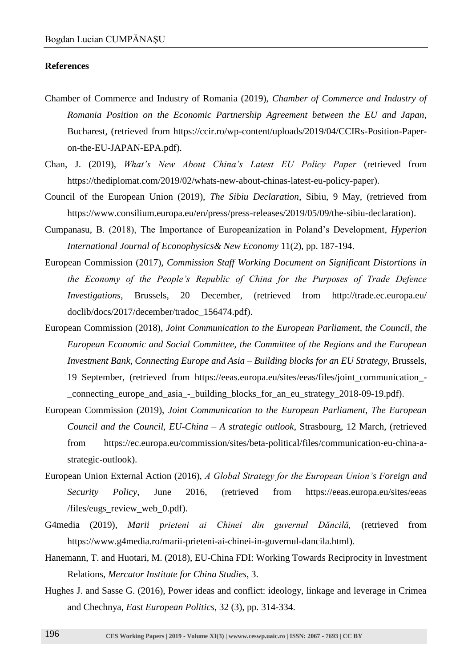### **References**

- Chamber of Commerce and Industry of Romania (2019), *Chamber of Commerce and Industry of Romania Position on the Economic Partnership Agreement between the EU and Japan*, Bucharest, (retrieved from https://ccir.ro/wp-content/uploads/2019/04/CCIRs-Position-Paperon-the-EU-JAPAN-EPA.pdf).
- Chan, J. (2019), *What's New About China's Latest EU Policy Paper* (retrieved from https://thediplomat.com/2019/02/whats-new-about-chinas-latest-eu-policy-paper).
- Council of the European Union (2019), *The Sibiu Declaration*, Sibiu, 9 May, (retrieved from https://www.consilium.europa.eu/en/press/press-releases/2019/05/09/the-sibiu-declaration).
- Cumpanasu, B. (2018), The Importance of Europeanization in Poland's Development, *Hyperion International Journal of Econophysics& New Economy* 11(2), pp. 187-194.
- European Commission (2017), *Commission Staff Working Document on Significant Distortions in the Economy of the People's Republic of China for the Purposes of Trade Defence Investigations*, Brussels, 20 December, (retrieved from http://trade.ec.europa.eu/ doclib/docs/2017/december/tradoc\_156474.pdf).
- European Commission (2018), *Joint Communication to the European Parliament, the Council, the European Economic and Social Committee, the Committee of the Regions and the European Investment Bank, Connecting Europe and Asia – Building blocks for an EU Strategy*, Brussels, 19 September, (retrieved from https://eeas.europa.eu/sites/eeas/files/joint\_communication\_- \_connecting\_europe\_and\_asia\_-\_building\_blocks\_for\_an\_eu\_strategy\_2018-09-19.pdf).
- European Commission (2019), *Joint Communication to the European Parliament, The European Council and the Council, EU-China – A strategic outlook*, Strasbourg, 12 March, (retrieved from https://ec.europa.eu/commission/sites/beta-political/files/communication-eu-china-astrategic-outlook).
- European Union External Action (2016), *A Global Strategy for the European Union's Foreign and Security Policy*, June 2016, (retrieved from https://eeas.europa.eu/sites/eeas /files/eugs\_review\_web\_0.pdf).
- G4media (2019), *Marii prieteni ai Chinei din guvernul Dăncilă,* (retrieved from [https://www.g4media.ro/marii-prieteni-ai-chinei-in-guvernul-dancila.html\)](https://www.g4media.ro/marii-prieteni-ai-chinei-in-guvernul-dancila.html).
- Hanemann, T. and Huotari, M. (2018), EU-China FDI: Working Towards Reciprocity in Investment Relations, *Mercator Institute for China Studies*, 3.
- Hughes J. and Sasse G. (2016), Power ideas and conflict: ideology, linkage and leverage in Crimea and Chechnya, *East European Politics*, 32 (3), pp. 314-334.